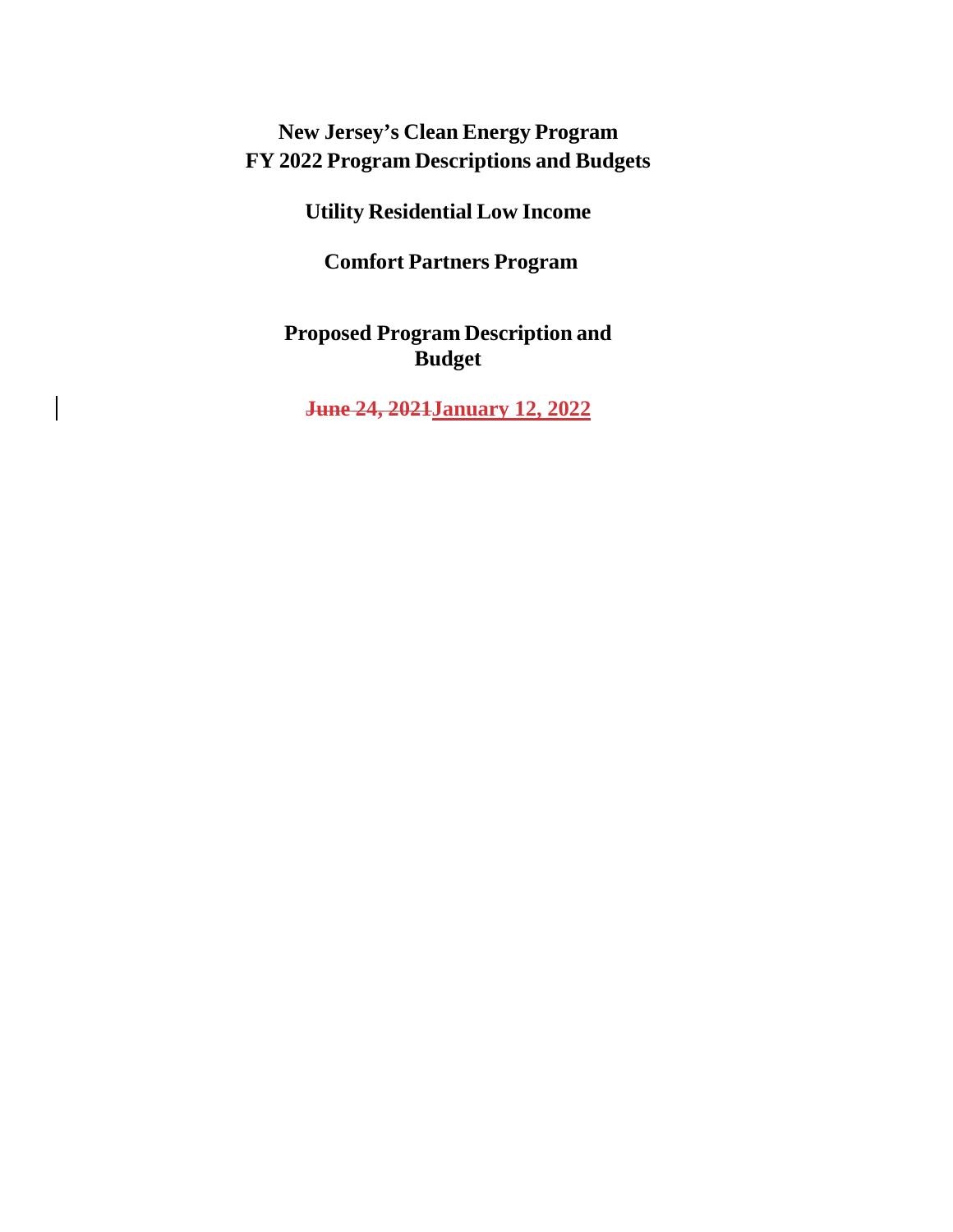# **New Jersey's Clean Energy Program FY 2022 Program Descriptions and Budgets**

**Utility Residential Low Income**

**Comfort Partners Program**

**Proposed Program Description and Budget**

**June 24, 2021January 12, 2022**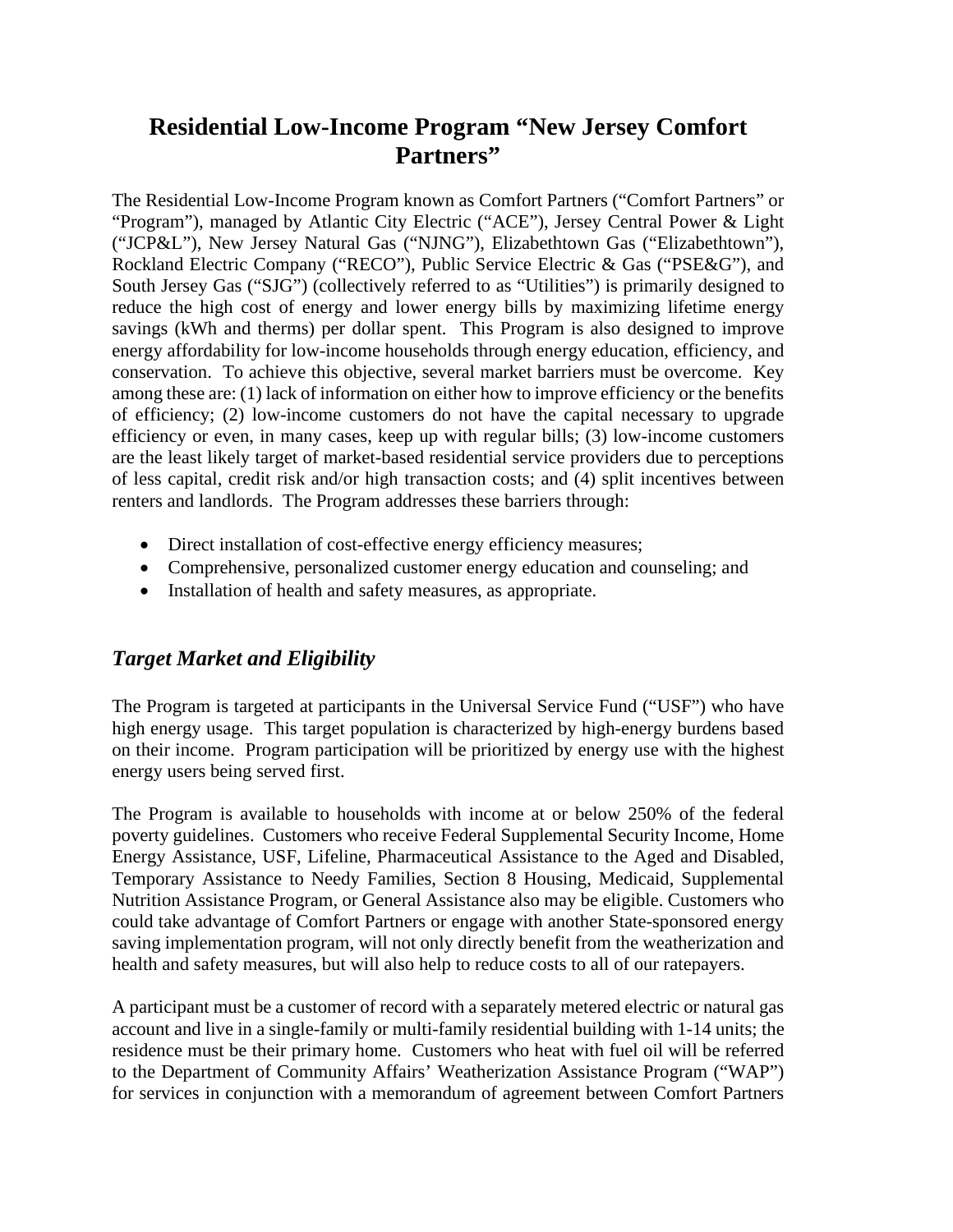# **Residential Low-Income Program "New Jersey Comfort Partners"**

The Residential Low-Income Program known as Comfort Partners ("Comfort Partners" or "Program"), managed by Atlantic City Electric ("ACE"), Jersey Central Power & Light ("JCP&L"), New Jersey Natural Gas ("NJNG"), Elizabethtown Gas ("Elizabethtown"), Rockland Electric Company ("RECO"), Public Service Electric & Gas ("PSE&G"), and South Jersey Gas ("SJG") (collectively referred to as "Utilities") is primarily designed to reduce the high cost of energy and lower energy bills by maximizing lifetime energy savings (kWh and therms) per dollar spent. This Program is also designed to improve energy affordability for low-income households through energy education, efficiency, and conservation. To achieve this objective, several market barriers must be overcome. Key among these are: (1) lack of information on either how to improve efficiency or the benefits of efficiency; (2) low-income customers do not have the capital necessary to upgrade efficiency or even, in many cases, keep up with regular bills; (3) low-income customers are the least likely target of market-based residential service providers due to perceptions of less capital, credit risk and/or high transaction costs; and (4) split incentives between renters and landlords. The Program addresses these barriers through:

- Direct installation of cost-effective energy efficiency measures;
- Comprehensive, personalized customer energy education and counseling; and
- Installation of health and safety measures, as appropriate.

# *Target Market and Eligibility*

The Program is targeted at participants in the Universal Service Fund ("USF") who have high energy usage. This target population is characterized by high-energy burdens based on their income. Program participation will be prioritized by energy use with the highest energy users being served first.

The Program is available to households with income at or below 250% of the federal poverty guidelines. Customers who receive Federal Supplemental Security Income, Home Energy Assistance, USF, Lifeline, Pharmaceutical Assistance to the Aged and Disabled, Temporary Assistance to Needy Families, Section 8 Housing, Medicaid, Supplemental Nutrition Assistance Program, or General Assistance also may be eligible. Customers who could take advantage of Comfort Partners or engage with another State-sponsored energy saving implementation program, will not only directly benefit from the weatherization and health and safety measures, but will also help to reduce costs to all of our ratepayers.

A participant must be a customer of record with a separately metered electric or natural gas account and live in a single-family or multi-family residential building with 1-14 units; the residence must be their primary home. Customers who heat with fuel oil will be referred to the Department of Community Affairs' Weatherization Assistance Program ("WAP") for services in conjunction with a memorandum of agreement between Comfort Partners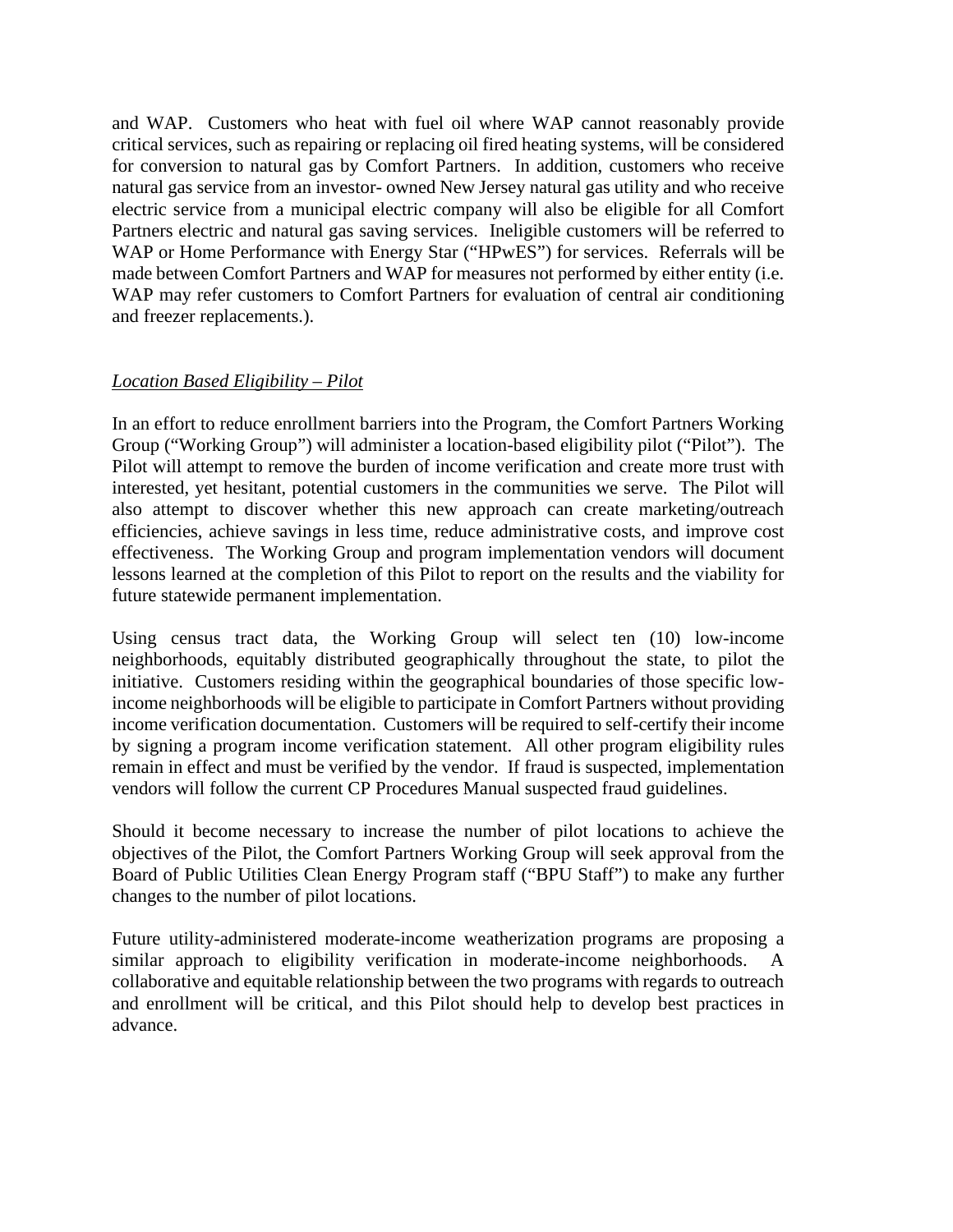and WAP. Customers who heat with fuel oil where WAP cannot reasonably provide critical services, such as repairing or replacing oil fired heating systems, will be considered for conversion to natural gas by Comfort Partners. In addition, customers who receive natural gas service from an investor- owned New Jersey natural gas utility and who receive electric service from a municipal electric company will also be eligible for all Comfort Partners electric and natural gas saving services. Ineligible customers will be referred to WAP or Home Performance with Energy Star ("HPwES") for services. Referrals will be made between Comfort Partners and WAP for measures not performed by either entity (i.e. WAP may refer customers to Comfort Partners for evaluation of central air conditioning and freezer replacements.).

#### *Location Based Eligibility – Pilot*

In an effort to reduce enrollment barriers into the Program, the Comfort Partners Working Group ("Working Group") will administer a location-based eligibility pilot ("Pilot"). The Pilot will attempt to remove the burden of income verification and create more trust with interested, yet hesitant, potential customers in the communities we serve. The Pilot will also attempt to discover whether this new approach can create marketing/outreach efficiencies, achieve savings in less time, reduce administrative costs, and improve cost effectiveness. The Working Group and program implementation vendors will document lessons learned at the completion of this Pilot to report on the results and the viability for future statewide permanent implementation.

Using census tract data, the Working Group will select ten (10) low-income neighborhoods, equitably distributed geographically throughout the state, to pilot the initiative. Customers residing within the geographical boundaries of those specific lowincome neighborhoods will be eligible to participate in Comfort Partners without providing income verification documentation. Customers will be required to self-certify their income by signing a program income verification statement. All other program eligibility rules remain in effect and must be verified by the vendor. If fraud is suspected, implementation vendors will follow the current CP Procedures Manual suspected fraud guidelines.

Should it become necessary to increase the number of pilot locations to achieve the objectives of the Pilot, the Comfort Partners Working Group will seek approval from the Board of Public Utilities Clean Energy Program staff ("BPU Staff") to make any further changes to the number of pilot locations.

Future utility-administered moderate-income weatherization programs are proposing a similar approach to eligibility verification in moderate-income neighborhoods. A collaborative and equitable relationship between the two programs with regards to outreach and enrollment will be critical, and this Pilot should help to develop best practices in advance.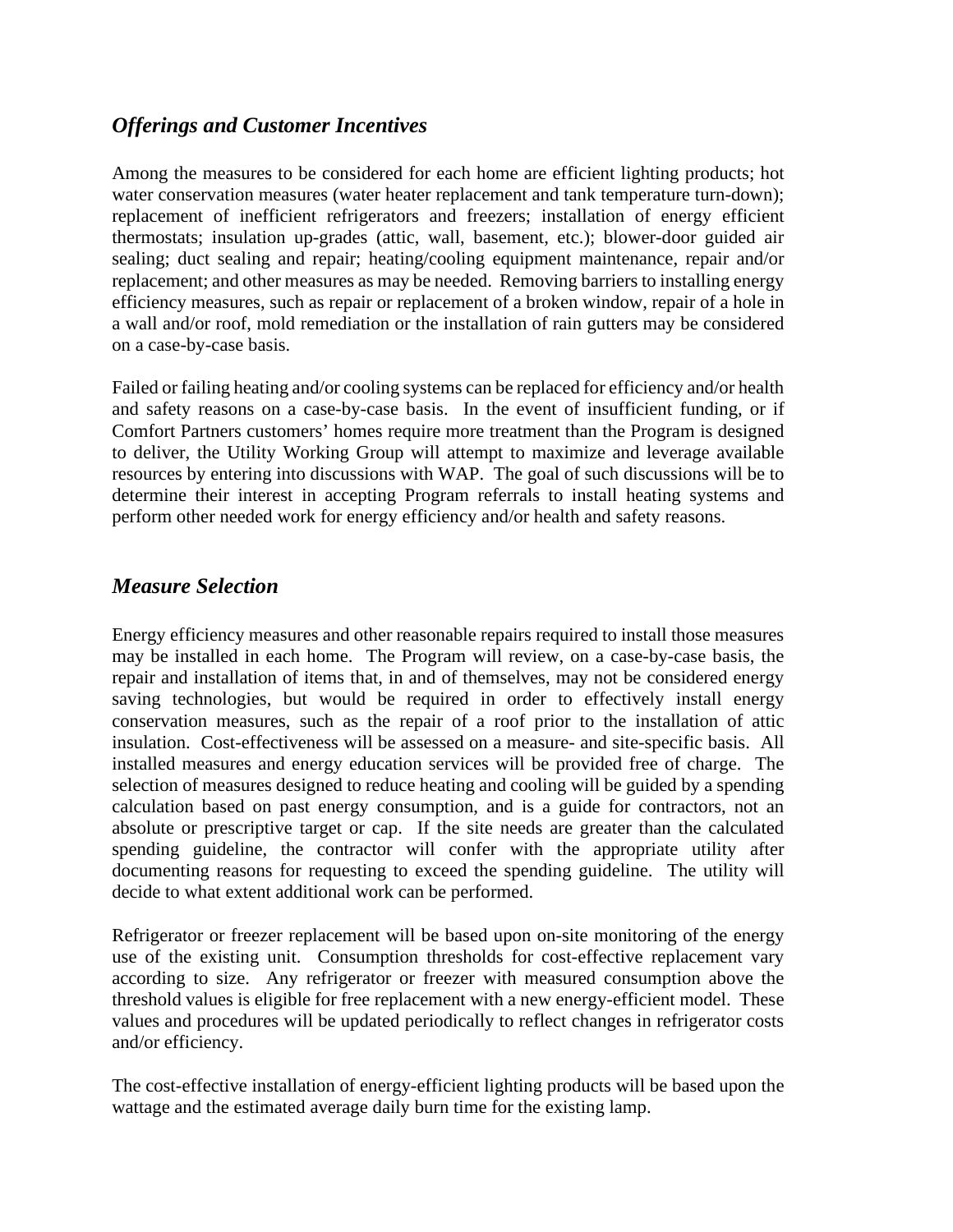### *Offerings and Customer Incentives*

Among the measures to be considered for each home are efficient lighting products; hot water conservation measures (water heater replacement and tank temperature turn-down); replacement of inefficient refrigerators and freezers; installation of energy efficient thermostats; insulation up-grades (attic, wall, basement, etc.); blower-door guided air sealing; duct sealing and repair; heating/cooling equipment maintenance, repair and/or replacement; and other measures as may be needed. Removing barriers to installing energy efficiency measures, such as repair or replacement of a broken window, repair of a hole in a wall and/or roof, mold remediation or the installation of rain gutters may be considered on a case-by-case basis.

Failed or failing heating and/or cooling systems can be replaced for efficiency and/or health and safety reasons on a case-by-case basis. In the event of insufficient funding, or if Comfort Partners customers' homes require more treatment than the Program is designed to deliver, the Utility Working Group will attempt to maximize and leverage available resources by entering into discussions with WAP. The goal of such discussions will be to determine their interest in accepting Program referrals to install heating systems and perform other needed work for energy efficiency and/or health and safety reasons.

### *Measure Selection*

Energy efficiency measures and other reasonable repairs required to install those measures may be installed in each home. The Program will review, on a case-by-case basis, the repair and installation of items that, in and of themselves, may not be considered energy saving technologies, but would be required in order to effectively install energy conservation measures, such as the repair of a roof prior to the installation of attic insulation. Cost-effectiveness will be assessed on a measure- and site-specific basis. All installed measures and energy education services will be provided free of charge. The selection of measures designed to reduce heating and cooling will be guided by a spending calculation based on past energy consumption, and is a guide for contractors, not an absolute or prescriptive target or cap. If the site needs are greater than the calculated spending guideline, the contractor will confer with the appropriate utility after documenting reasons for requesting to exceed the spending guideline. The utility will decide to what extent additional work can be performed.

Refrigerator or freezer replacement will be based upon on-site monitoring of the energy use of the existing unit. Consumption thresholds for cost-effective replacement vary according to size. Any refrigerator or freezer with measured consumption above the threshold values is eligible for free replacement with a new energy-efficient model. These values and procedures will be updated periodically to reflect changes in refrigerator costs and/or efficiency.

The cost-effective installation of energy-efficient lighting products will be based upon the wattage and the estimated average daily burn time for the existing lamp.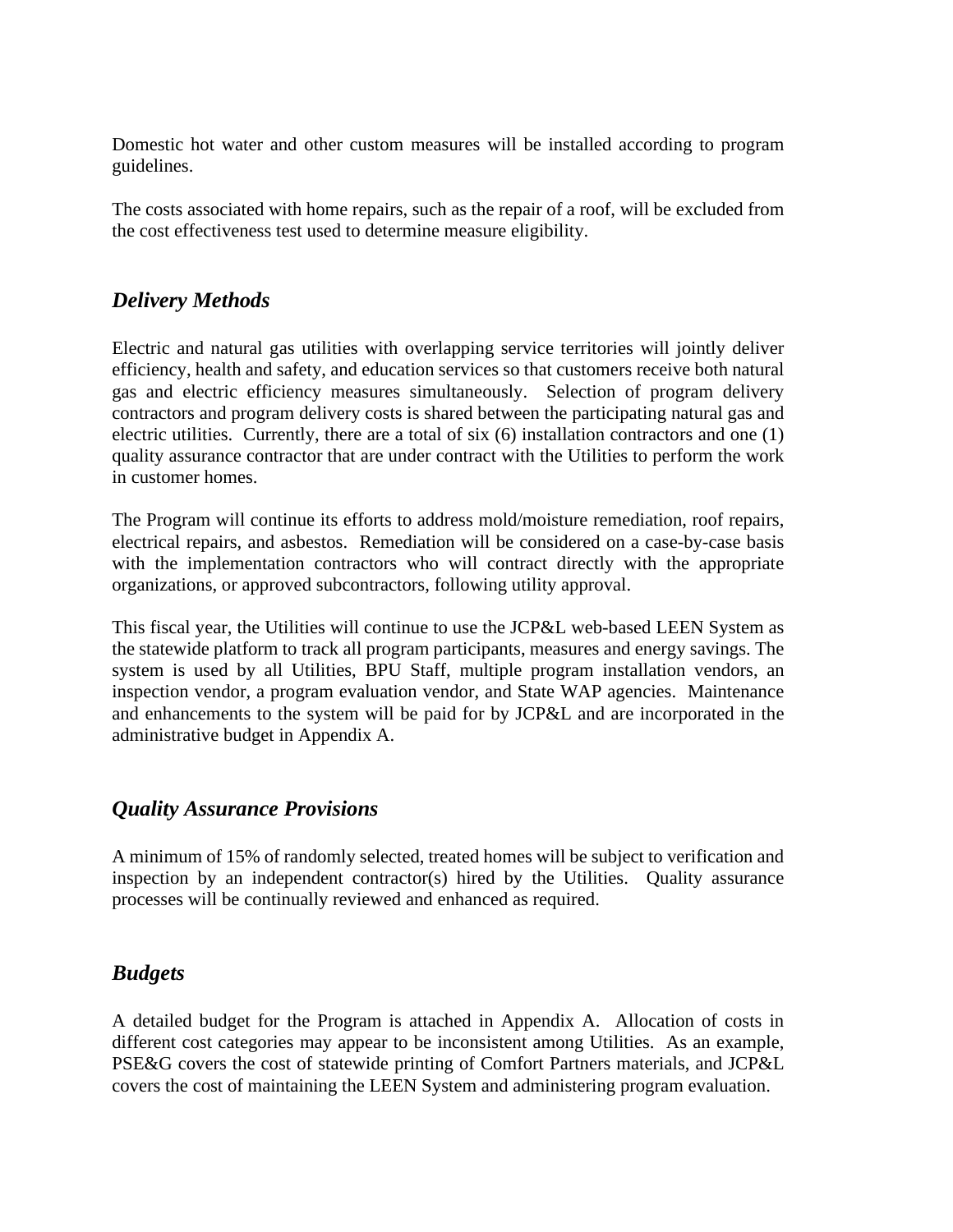Domestic hot water and other custom measures will be installed according to program guidelines.

The costs associated with home repairs, such as the repair of a roof, will be excluded from the cost effectiveness test used to determine measure eligibility.

# *Delivery Methods*

Electric and natural gas utilities with overlapping service territories will jointly deliver efficiency, health and safety, and education services so that customers receive both natural gas and electric efficiency measures simultaneously. Selection of program delivery contractors and program delivery costs is shared between the participating natural gas and electric utilities. Currently, there are a total of six (6) installation contractors and one (1) quality assurance contractor that are under contract with the Utilities to perform the work in customer homes.

The Program will continue its efforts to address mold/moisture remediation, roof repairs, electrical repairs, and asbestos. Remediation will be considered on a case-by-case basis with the implementation contractors who will contract directly with the appropriate organizations, or approved subcontractors, following utility approval.

This fiscal year, the Utilities will continue to use the JCP&L web-based LEEN System as the statewide platform to track all program participants, measures and energy savings. The system is used by all Utilities, BPU Staff, multiple program installation vendors, an inspection vendor, a program evaluation vendor, and State WAP agencies. Maintenance and enhancements to the system will be paid for by JCP&L and are incorporated in the administrative budget in Appendix A.

### *Quality Assurance Provisions*

A minimum of 15% of randomly selected, treated homes will be subject to verification and inspection by an independent contractor(s) hired by the Utilities. Quality assurance processes will be continually reviewed and enhanced as required.

# *Budgets*

A detailed budget for the Program is attached in Appendix A. Allocation of costs in different cost categories may appear to be inconsistent among Utilities. As an example, PSE&G covers the cost of statewide printing of Comfort Partners materials, and JCP&L covers the cost of maintaining the LEEN System and administering program evaluation.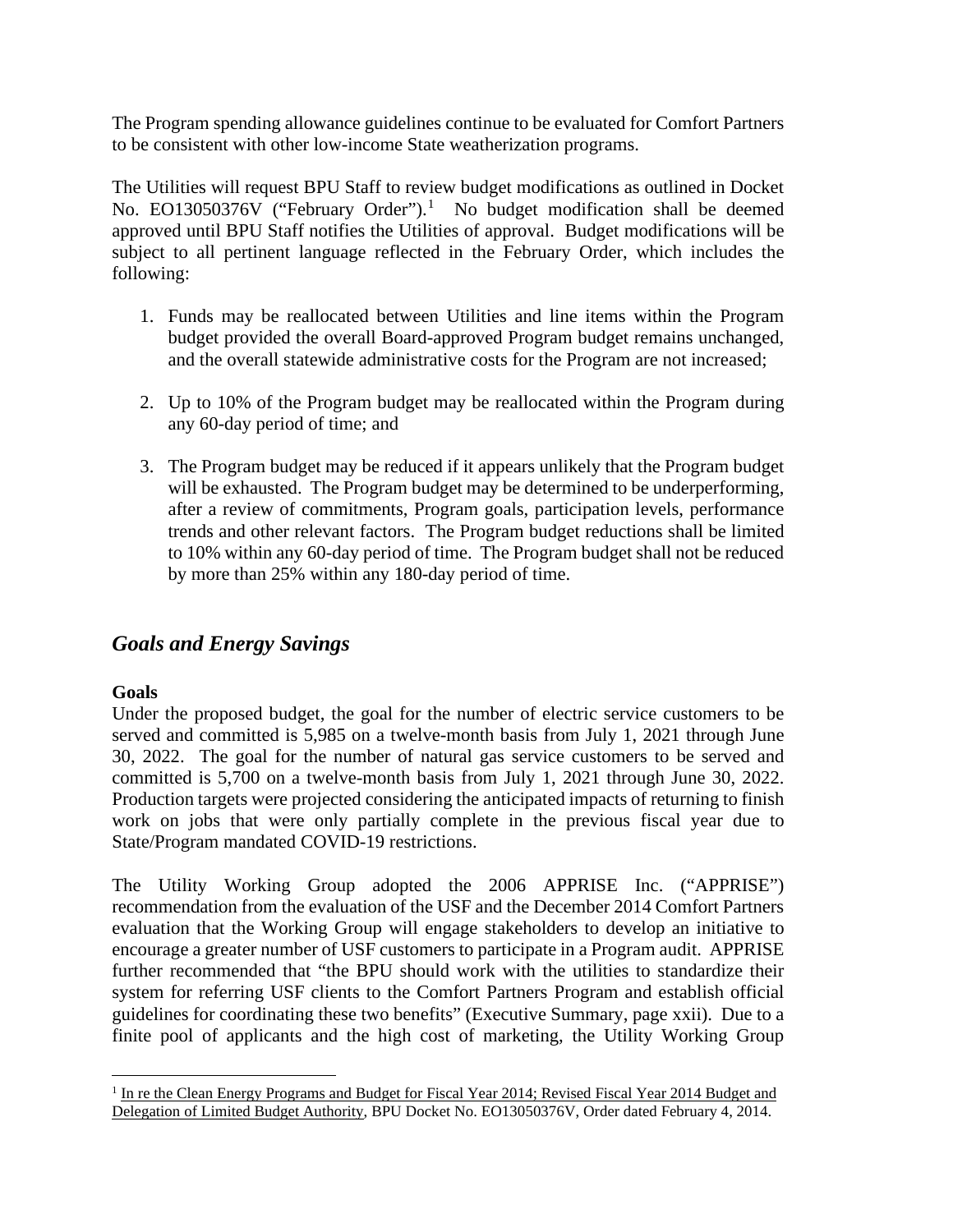The Program spending allowance guidelines continue to be evaluated for Comfort Partners to be consistent with other low-income State weatherization programs.

The Utilities will request BPU Staff to review budget modifications as outlined in Docket No. EO13050376V ("February Order"). [1](#page-5-0) No budget modification shall be deemed approved until BPU Staff notifies the Utilities of approval. Budget modifications will be subject to all pertinent language reflected in the February Order, which includes the following:

- 1. Funds may be reallocated between Utilities and line items within the Program budget provided the overall Board-approved Program budget remains unchanged, and the overall statewide administrative costs for the Program are not increased;
- 2. Up to 10% of the Program budget may be reallocated within the Program during any 60-day period of time; and
- 3. The Program budget may be reduced if it appears unlikely that the Program budget will be exhausted. The Program budget may be determined to be underperforming, after a review of commitments, Program goals, participation levels, performance trends and other relevant factors. The Program budget reductions shall be limited to 10% within any 60-day period of time. The Program budget shall not be reduced by more than 25% within any 180-day period of time.

# *Goals and Energy Savings*

#### **Goals**

Under the proposed budget, the goal for the number of electric service customers to be served and committed is 5,985 on a twelve-month basis from July 1, 2021 through June 30, 2022. The goal for the number of natural gas service customers to be served and committed is 5,700 on a twelve-month basis from July 1, 2021 through June 30, 2022. Production targets were projected considering the anticipated impacts of returning to finish work on jobs that were only partially complete in the previous fiscal year due to State/Program mandated COVID-19 restrictions.

The Utility Working Group adopted the 2006 APPRISE Inc. ("APPRISE") recommendation from the evaluation of the USF and the December 2014 Comfort Partners evaluation that the Working Group will engage stakeholders to develop an initiative to encourage a greater number of USF customers to participate in a Program audit. APPRISE further recommended that "the BPU should work with the utilities to standardize their system for referring USF clients to the Comfort Partners Program and establish official guidelines for coordinating these two benefits" (Executive Summary, page xxii). Due to a finite pool of applicants and the high cost of marketing, the Utility Working Group

<span id="page-5-0"></span><sup>&</sup>lt;sup>1</sup> In re the Clean Energy Programs and Budget for Fiscal Year 2014; Revised Fiscal Year 2014 Budget and Delegation of Limited Budget Authority, BPU Docket No. EO13050376V, Order dated February 4, 2014.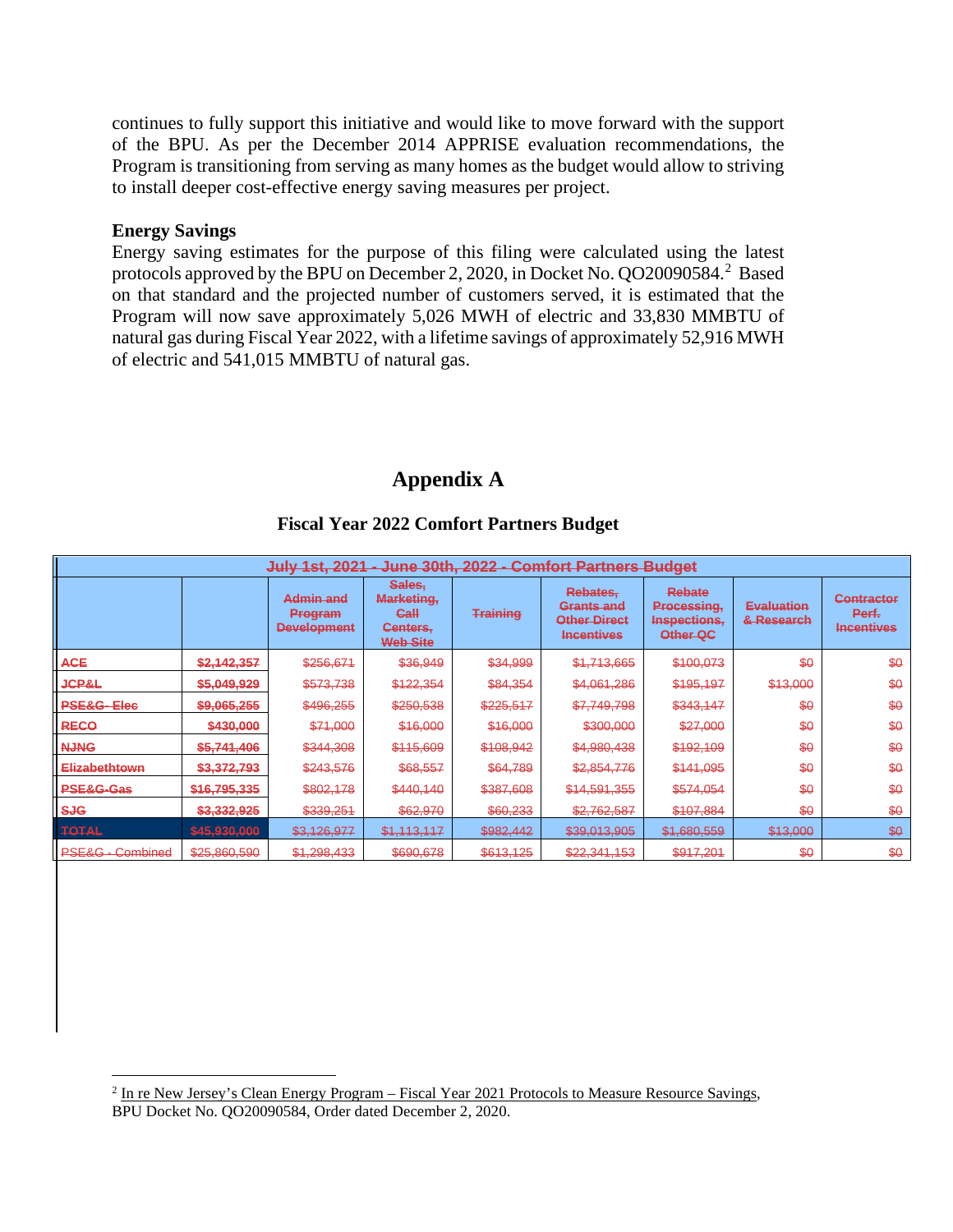continues to fully support this initiative and would like to move forward with the support of the BPU. As per the December 2014 APPRISE evaluation recommendations, the Program is transitioning from serving as many homes as the budget would allow to striving to install deeper cost-effective energy saving measures per project.

#### **Energy Savings**

Energy saving estimates for the purpose of this filing were calculated using the latest protocols approved by the BPU on December 2, 2020, in Docket No. QO20090584. [2](#page-6-0) Based on that standard and the projected number of customers served, it is estimated that the Program will now save approximately 5,026 MWH of electric and 33,830 MMBTU of natural gas during Fiscal Year 2022, with a lifetime savings of approximately 52,916 MWH of electric and 541,015 MMBTU of natural gas.

#### **Appendix A**

| <b>July 1st, 2021</b><br>June 30th, 2022 - Comfort Partners Budget |              |                                            |                                                                        |                 |                                                                           |                                                          |                                 |                                                 |  |  |  |  |
|--------------------------------------------------------------------|--------------|--------------------------------------------|------------------------------------------------------------------------|-----------------|---------------------------------------------------------------------------|----------------------------------------------------------|---------------------------------|-------------------------------------------------|--|--|--|--|
|                                                                    |              | Admin and<br>Program<br><b>Development</b> | Sales,<br>Marketing,<br>Ca <sub>H</sub><br>Centers,<br><b>Web Site</b> | <b>Training</b> | Rebates,<br><b>Grants and</b><br><b>Other Direct</b><br><b>Incentives</b> | <b>Rebate</b><br>Processing,<br>Inspections,<br>Other QC | <b>Evaluation</b><br>& Research | <b>Contractor</b><br>Perf.<br><b>Incentives</b> |  |  |  |  |
| <b>ACE</b>                                                         | \$2,142,357  | \$256,671                                  | \$36,949                                                               | \$34,999        | \$1,713,665                                                               | \$100,073                                                | \$0                             | \$0                                             |  |  |  |  |
| <b>JCP&amp;L</b>                                                   | \$5,049,929  | \$573,738                                  | \$122,354                                                              | \$84,354        | \$4,061,286                                                               | \$195,197                                                | \$13,000                        | \$0                                             |  |  |  |  |
| <b>PSE&amp;G-Elec</b>                                              | \$9,065,255  | \$496,255                                  | \$250,538                                                              | \$225,517       | \$7,749,798                                                               | \$343,147                                                | \$0                             | \$0                                             |  |  |  |  |
| <b>RECO</b>                                                        | \$430,000    | \$71,000                                   | \$16,000                                                               | \$16,000        | \$300,000                                                                 | \$27,000                                                 | \$0                             | \$0                                             |  |  |  |  |
| <b>NJNG</b>                                                        | \$5,741,406  | \$344,308                                  | \$115,609                                                              | \$108,942       | \$4,980,438                                                               | \$192,109                                                | \$0                             | \$0                                             |  |  |  |  |
| Elizabethtown                                                      | \$3,372,793  | \$243,576                                  | \$68,557                                                               | \$64,789        | \$2,854,776                                                               | \$141,095                                                | \$0                             | \$0                                             |  |  |  |  |
| PSE&G-Gas                                                          | \$16,795,335 | \$802,178                                  | \$440,140                                                              | \$387,608       | \$14,591,355                                                              | \$574,054                                                | \$0                             | \$0                                             |  |  |  |  |
| <b>SJG</b>                                                         | \$3,332,925  | \$339,251                                  | \$62,970                                                               | \$60,233        | \$2,762,587                                                               | \$107,884                                                | \$0                             | \$0                                             |  |  |  |  |
| TOTAL                                                              | \$45,930,000 | \$3,126,977                                | \$1,113,117                                                            | \$982,442       | \$39,013,905                                                              | \$1,680,559                                              | \$13,000                        | \$0                                             |  |  |  |  |
| <b>PSE&amp;G - Combined</b>                                        | \$25,860,590 | \$1,298,433                                | \$690,678                                                              | \$613,125       | \$22,341,153                                                              | \$917,201                                                | \$0                             | \$0                                             |  |  |  |  |

#### **Fiscal Year 2022 Comfort Partners Budget**

<span id="page-6-0"></span> $2 \text{ In }$  re New Jersey's Clean Energy Program – Fiscal Year 2021 Protocols to Measure Resource Savings, BPU Docket No. QO20090584, Order dated December 2, 2020.